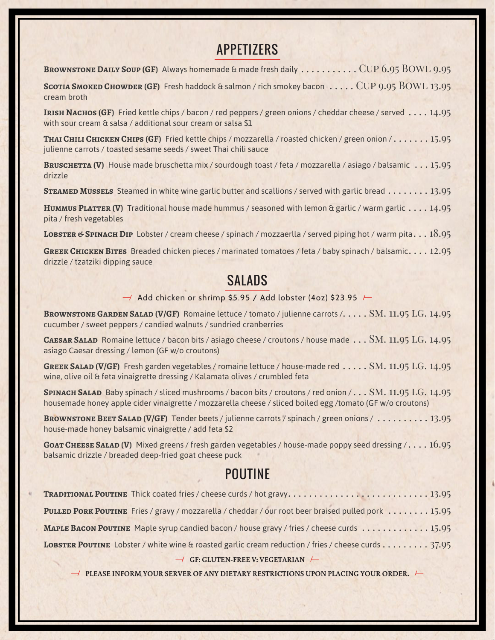### **APPETIZERS**

BROWNSTONE DAILY SOUP (GF) Always homemade & made fresh daily . . . . . . . . . . . CUP 6.95 BOWL 9.95

**SCOTIA SMOKED CHOWDER (GF)** Fresh haddock & salmon / rich smokey bacon . . . . . CUP 9.95 BOWL 13.95 cream broth

**IRISH NACHOS (GF)** Fried kettle chips / bacon / red peppers / green onions / cheddar cheese / served . . . . 14.95 with sour cream & salsa / additional sour cream or salsa \$1

**Thai Chili Chicken Chips (GF)** Fried kettle chips / mozzarella / roasted chicken / green onion / . . . . . . . 15.95 julienne carrots / toasted sesame seeds / sweet Thai chili sauce

**Bruschetta (V)** House made bruschetta mix / sourdough toast / feta / mozzarella / asiago / balsamic . . . 15.95 drizzle

**STEAMED MUSSELS** Steamed in white wine garlic butter and scallions / served with garlic bread . . . . . . . . 13.95

**HUMMUS PLATTER (V)** Traditional house made hummus / seasoned with lemon & garlic / warm garlic . . . . 14.95 pita / fresh vegetables

LOBSTER & SPINACH DIP Lobster / cream cheese / spinach / mozzaerlla / served piping hot / warm pita. . . 18.95

**Greek Chicken Bites** Breaded chicken pieces / marinated tomatoes / feta / baby spinach / balsamic. . . . 12.95 drizzle / tzatziki dipping sauce

#### **SALADS**

 $\rightarrow$  Add chicken or shrimp \$5.95 / Add lobster (4oz) \$23.95  $\rightarrow$ 

**BROWNSTONE GARDEN SALAD (V/GF)** Romaine lettuce / tomato / julienne carrots /. . . . . SM. 11.95 LG. 14.95 cucumber / sweet peppers / candied walnuts / sundried cranberries

CAESAR SALAD Romaine lettuce / bacon bits / asiago cheese / croutons / house made . . . SM. 11.95 LG. 14.95 asiago Caesar dressing / lemon (GF w/o croutons)

**GREEK SALAD (V/GF)** Fresh garden vegetables / romaine lettuce / house-made red  $\dots$  . SM. 11.95 LG. 14.95 wine, olive oil & feta vinaigrette dressing / Kalamata olives / crumbled feta

**SPINACH SALAD** Baby spinach / sliced mushrooms / bacon bits / croutons / red onion / . . . SM. 11.95 LG. 14.95 housemade honey apple cider vinaigrette / mozzarella cheese / sliced boiled egg /tomato (GF w/o croutons)

**Brownstone Beet Salad (V/GF)** Tender beets / julienne carrots / spinach / green onions / . . . . . . . . . . 13.95 house-made honey balsamic vinaigrette / add feta \$2

**GOAT CHEESE SALAD (V)** Mixed greens / fresh garden vegetables / house-made poppy seed dressing / . . . . 16.95 balsamic drizzle / breaded deep-fried goat cheese puck

## POUTINE

| TRADITIONAL POUTINE Thick coated fries / cheese curds / hot gravy13.95                              |
|-----------------------------------------------------------------------------------------------------|
| PULLED PORK POUTINE Fries / gravy / mozzarella / cheddar / our root beer braised pulled pork  15.95 |
| Maple Bacon Poutine Maple syrup candied bacon / house gravy / fries / cheese curds 15.95            |
| LOBSTER POUTINE Lobster / white wine & roasted garlic cream reduction / fries / cheese curds 37.95  |
| $\rightarrow$ GF: GLUTEN-FREE V: VEGETARIAN $\leftarrow$                                            |

 $\rightarrow$  PLEASE INFORM YOUR SERVER OF ANY DIETARY RESTRICTIONS UPON PLACING YOUR ORDER.  $\leftarrow$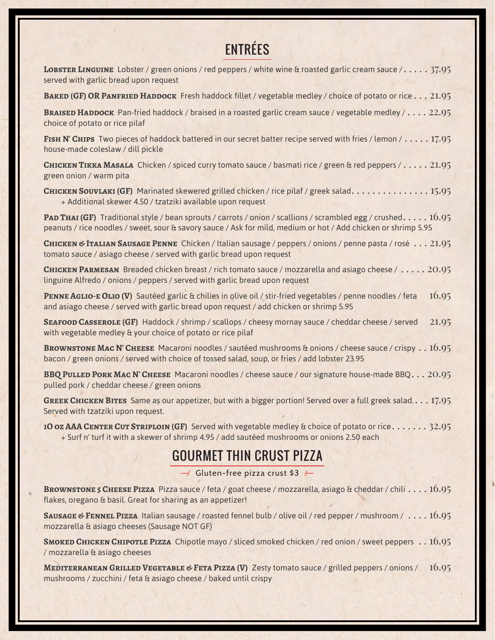# ENTRÉES

| <b>LOBSTER LINGUINE</b> Lobster / green onions / red peppers / white wine & roasted garlic cream sauce /. 37.95<br>served with garlic bread upon request                                                                       |
|--------------------------------------------------------------------------------------------------------------------------------------------------------------------------------------------------------------------------------|
| BAKED (GF) OR PANFRIED HADDOCK Fresh haddock fillet / vegetable medley / choice of potato or rice 21.95                                                                                                                        |
| BRAISED HADDOCK Pan-fried haddock / braised in a roasted garlic cream sauce / vegetable medley / 22.95<br>choice of potato or rice pilaf                                                                                       |
| FISH N'CHIPS Two pieces of haddock battered in our secret batter recipe served with fries / lemon / 17.95<br>house-made coleslaw / dill pickle                                                                                 |
| CHICKEN TIKKA MASALA Chicken / spiced curry tomato sauce / basmati rice / green & red peppers / 21.95<br>green onion / warm pita                                                                                               |
| <b>CHICKEN SOUVLAKI (GF)</b> Marinated skewered grilled chicken / rice pilaf / greek salad. 15.95<br>+ Additional skewer 4.50 / tzatziki available upon request                                                                |
| PAD THAI (GF) Traditional style / bean sprouts / carrots / onion / scallions / scrambled egg / crushed 16.95<br>peanuts / rice noodles / sweet, sour & savory sauce / Ask for mild, medium or hot / Add chicken or shrimp 5.95 |
| CHICKEN & ITALIAN SAUSAGE PENNE Chicken / Italian sausage / peppers / onions / penne pasta / rosé 21.95<br>tomato sauce / asiago cheese / served with garlic bread upon request                                                |
| <b>CHICKEN PARMESAN</b> Breaded chicken breast / rich tomato sauce / mozzarella and asiago cheese / 20.95<br>linguine Alfredo / onions / peppers / served with garlic bread upon request                                       |
| 16.95<br>PENNE AGLIO-E OLIO (V) Sautéed garlic & chilies in olive oil / stir-fried vegetables / penne noodles / feta<br>and asiago cheese / served with garlic bread upon request / add chicken or shrimp 5.95                 |
| SEAFOOD CASSEROLE (GF) Haddock / shrimp / scallops / cheesy mornay sauce / cheddar cheese / served<br>21.95<br>with vegetable medley & your choice of potato or rice pilaf                                                     |
| BROWNSTONE MAC N' CHEESE Macaroni noodles / sautéed mushrooms & onions / cheese sauce / crispy 16.95<br>bacon / green onions / served with choice of tossed salad, soup, or fries / add lobster 23.95                          |
| BBQ PULLED PORK MAC N' CHEESE Macaroni noodles / cheese sauce / our signature house-made BBQ. 20.95<br>pulled pork / cheddar cheese / green onions                                                                             |

**Greek Chicken Bites** Same as our appetizer, but with a bigger portion! Served over a full greek salad.. . . 17.95 Served with tzatziki upon request.

10 oz AAA CENTER CUT STRIPLOIN (GF) Served with vegetable medley & choice of potato or rice. . . . . . . 32.95 + Surf n' turf it with a skewer of shrimp 4.95 / add sautéed mushrooms or onions 2.50 each

# GOURMET THIN CRUST PIZZA

 $\rightarrow$  Gluten-free pizza crust \$3  $\rightarrow$ 

**Brownstone 5 Cheese Pizza** Pizza sauce / feta / goat cheese / mozzarella, asiago & cheddar / chili . . . . 16.95 flakes, oregano & basil. Great for sharing as an appetizer!

**Sausage & Fennel Pizza** Italian sausage / roasted fennel bulb / olive oil / red pepper / mushroom / . . . . 16.95 mozzarella & asiago cheeses (Sausage NOT GF)

**Smoked Chicken Chipotle Pizza** Chipotle mayo / sliced smoked chicken / red onion / sweet peppers . . 16.95 / mozzarella & asiago cheeses

**MEDITERRANEAN GRILLED VEGETABLE & FETA PIZZA (V)** Zesty tomato sauce / grilled peppers / onions / 16.95 mushrooms / zucchini / feta & asiago cheese / baked until crispy